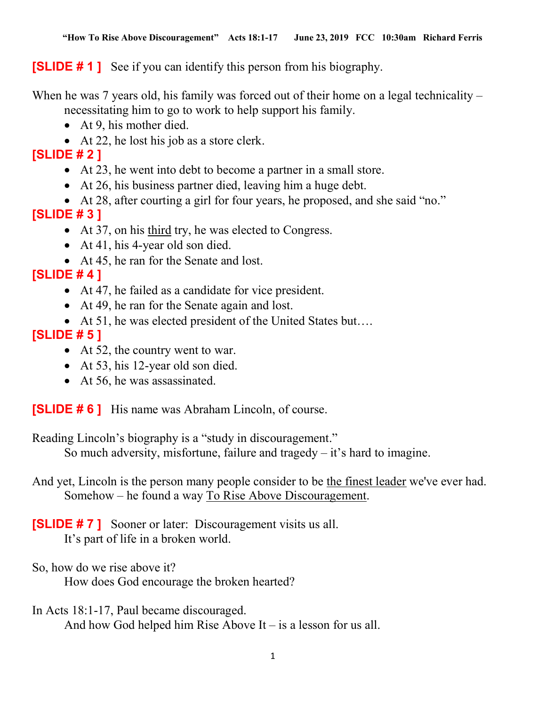**[SLIDE # 1]** See if you can identify this person from his biography.

When he was 7 years old, his family was forced out of their home on a legal technicality – necessitating him to go to work to help support his family.

- At 9, his mother died.
- At 22, he lost his job as a store clerk.

## [SLIDE # 2 ]

- At 23, he went into debt to become a partner in a small store.
- At 26, his business partner died, leaving him a huge debt.
- At 28, after courting a girl for four years, he proposed, and she said "no." [SLIDE # 3 ]
	- At 37, on his third try, he was elected to Congress.
	- At 41, his 4-year old son died.
	- At 45, he ran for the Senate and lost.

# $[SLIDE # 4]$

- At 47, he failed as a candidate for vice president.
- At 49, he ran for the Senate again and lost.
- At 51, he was elected president of the United States but….

## [SLIDE # 5 ]

- At 52, the country went to war.
- At 53, his 12-year old son died.
- At 56, he was assassinated.

[SLIDE # 6 ] His name was Abraham Lincoln, of course.

Reading Lincoln's biography is a "study in discouragement." So much adversity, misfortune, failure and tragedy  $-$  it's hard to imagine.

And yet, Lincoln is the person many people consider to be the finest leader we've ever had. Somehow – he found a way To Rise Above Discouragement.

**[SLIDE #7]** Sooner or later: Discouragement visits us all. It's part of life in a broken world.

So, how do we rise above it? How does God encourage the broken hearted?

In Acts 18:1-17, Paul became discouraged.

And how God helped him Rise Above It – is a lesson for us all.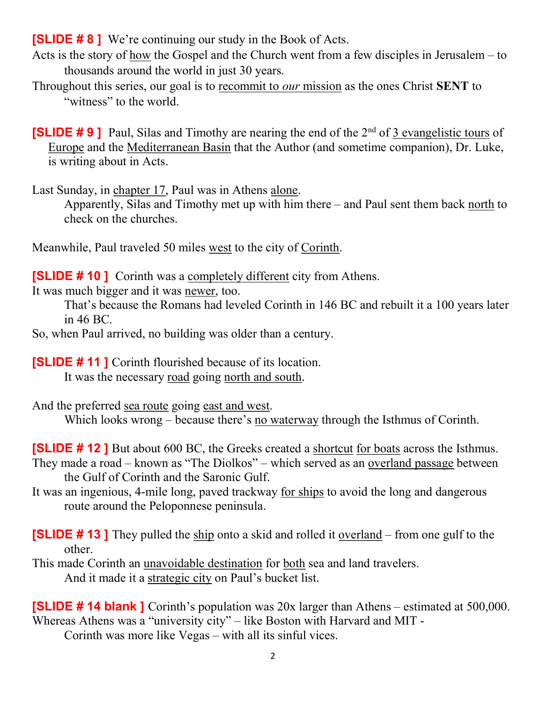**[SLIDE #8]** We're continuing our study in the Book of Acts.

- Acts is the story of how the Gospel and the Church went from a few disciples in Jerusalem to thousands around the world in just 30 years.
- Throughout this series, our goal is to recommit to *our* mission as the ones Christ **SENT** to "witness" to the world.

**[SLIDE #9]** Paul, Silas and Timothy are nearing the end of the  $2<sup>nd</sup>$  of 3 evangelistic tours of Europe and the Mediterranean Basin that the Author (and sometime companion), Dr. Luke, is writing about in Acts.

Last Sunday, in chapter 17, Paul was in Athens alone.

 Apparently, Silas and Timothy met up with him there – and Paul sent them back north to check on the churches.

Meanwhile, Paul traveled 50 miles west to the city of Corinth.

**[SLIDE # 10 ]** Corinth was a completely different city from Athens.

It was much bigger and it was newer, too.

That's because the Romans had leveled Corinth in 146 BC and rebuilt it a 100 years later in 46 BC.

So, when Paul arrived, no building was older than a century.

[SLIDE # 11 ] Corinth flourished because of its location.

It was the necessary road going north and south.

And the preferred sea route going east and west. Which looks wrong – because there's no waterway through the Isthmus of Corinth.

[SLIDE # 12 ] But about 600 BC, the Greeks created a shortcut for boats across the Isthmus. They made a road – known as "The Diolkos" – which served as an overland passage between the Gulf of Corinth and the Saronic Gulf.

It was an ingenious, 4-mile long, paved trackway for ships to avoid the long and dangerous route around the Peloponnese peninsula.

[SLIDE # 13 ] They pulled the ship onto a skid and rolled it overland – from one gulf to the other.

This made Corinth an unavoidable destination for both sea and land travelers. And it made it a strategic city on Paul's bucket list.

[SLIDE # 14 blank ] Corinth's population was 20x larger than Athens – estimated at 500,000. Whereas Athens was a "university city" – like Boston with Harvard and MIT -

Corinth was more like Vegas – with all its sinful vices.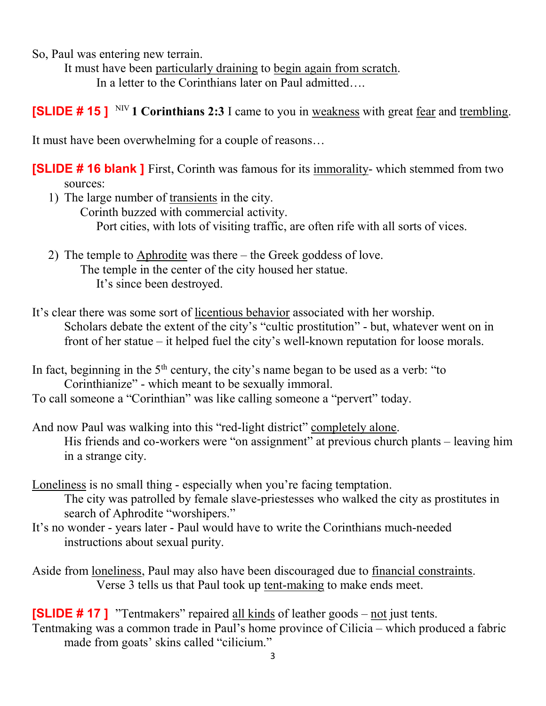So, Paul was entering new terrain.

 It must have been particularly draining to begin again from scratch. In a letter to the Corinthians later on Paul admitted….

**[SLIDE # 15 ]** NIV 1 Corinthians 2:3 I came to you in weakness with great fear and trembling.

It must have been overwhelming for a couple of reasons…

**[SLIDE # 16 blank ]** First, Corinth was famous for its immorality- which stemmed from two sources:

1) The large number of transients in the city.

Corinth buzzed with commercial activity. Port cities, with lots of visiting traffic, are often rife with all sorts of vices.

2) The temple to Aphrodite was there – the Greek goddess of love. The temple in the center of the city housed her statue. It's since been destroyed.

It's clear there was some sort of licentious behavior associated with her worship. Scholars debate the extent of the city's "cultic prostitution" - but, whatever went on in front of her statue – it helped fuel the city's well-known reputation for loose morals.

In fact, beginning in the  $5<sup>th</sup>$  century, the city's name began to be used as a verb: "to Corinthianize" - which meant to be sexually immoral. To call someone a "Corinthian" was like calling someone a "pervert" today.

- And now Paul was walking into this "red-light district" completely alone. His friends and co-workers were "on assignment" at previous church plants – leaving him in a strange city.
- Loneliness is no small thing especially when you're facing temptation. The city was patrolled by female slave-priestesses who walked the city as prostitutes in search of Aphrodite "worshipers."
- It's no wonder years later Paul would have to write the Corinthians much-needed instructions about sexual purity.
- Aside from loneliness, Paul may also have been discouraged due to financial constraints. Verse 3 tells us that Paul took up tent-making to make ends meet.

[SLIDE # 17 ] "Tentmakers" repaired all kinds of leather goods – not just tents. Tentmaking was a common trade in Paul's home province of Cilicia – which produced a fabric made from goats' skins called "cilicium."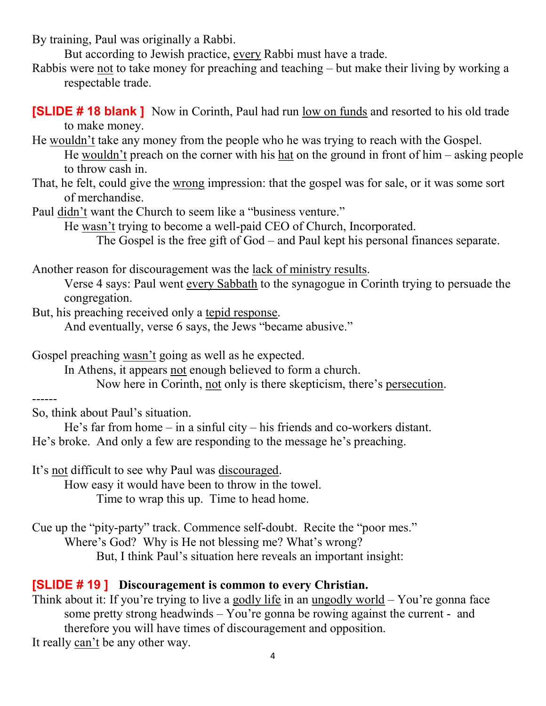By training, Paul was originally a Rabbi.

But according to Jewish practice, every Rabbi must have a trade.

Rabbis were not to take money for preaching and teaching – but make their living by working a respectable trade.

[SLIDE # 18 blank ] Now in Corinth, Paul had run low on funds and resorted to his old trade to make money.

He wouldn't take any money from the people who he was trying to reach with the Gospel. He wouldn't preach on the corner with his hat on the ground in front of him – asking people to throw cash in.

That, he felt, could give the wrong impression: that the gospel was for sale, or it was some sort of merchandise.

Paul didn't want the Church to seem like a "business venture."

He wasn't trying to become a well-paid CEO of Church, Incorporated.

The Gospel is the free gift of God – and Paul kept his personal finances separate.

Another reason for discouragement was the lack of ministry results.

 Verse 4 says: Paul went every Sabbath to the synagogue in Corinth trying to persuade the congregation.

But, his preaching received only a tepid response.

And eventually, verse 6 says, the Jews "became abusive."

Gospel preaching wasn't going as well as he expected.

In Athens, it appears not enough believed to form a church.

Now here in Corinth, not only is there skepticism, there's persecution.

------

So, think about Paul's situation.

He's far from home – in a sinful city – his friends and co-workers distant. He's broke. And only a few are responding to the message he's preaching.

It's not difficult to see why Paul was discouraged.

How easy it would have been to throw in the towel. Time to wrap this up. Time to head home.

Cue up the "pity-party" track. Commence self-doubt. Recite the "poor mes." Where's God? Why is He not blessing me? What's wrong?

But, I think Paul's situation here reveals an important insight:

#### [SLIDE # 19 ] Discouragement is common to every Christian.

Think about it: If you're trying to live a godly life in an ungodly world – You're gonna face some pretty strong headwinds – You're gonna be rowing against the current - and therefore you will have times of discouragement and opposition. It really can't be any other way.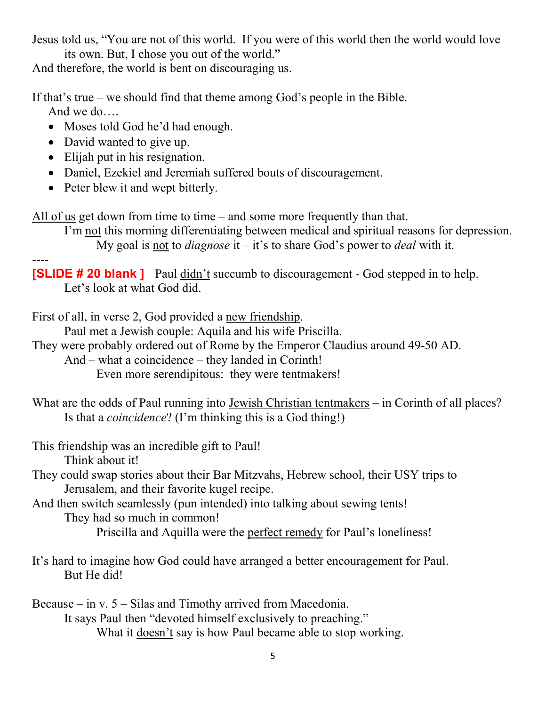Jesus told us, "You are not of this world. If you were of this world then the world would love its own. But, I chose you out of the world."

And therefore, the world is bent on discouraging us.

If that's true – we should find that theme among God's people in the Bible. And we do….

- Moses told God he'd had enough.
- David wanted to give up.
- Elijah put in his resignation.
- Daniel, Ezekiel and Jeremiah suffered bouts of discouragement.
- Peter blew it and wept bitterly.

All of us get down from time to time – and some more frequently than that.

 I'm not this morning differentiating between medical and spiritual reasons for depression. My goal is not to *diagnose* it – it's to share God's power to *deal* with it.

---- **[SLIDE # 20 blank ]** Paul didn't succumb to discouragement - God stepped in to help. Let's look at what God did.

First of all, in verse 2, God provided a new friendship.

Paul met a Jewish couple: Aquila and his wife Priscilla.

They were probably ordered out of Rome by the Emperor Claudius around 49-50 AD.

And – what a coincidence – they landed in Corinth!

Even more serendipitous: they were tentmakers!

What are the odds of Paul running into Jewish Christian tentmakers – in Corinth of all places? Is that a coincidence? (I'm thinking this is a God thing!)

This friendship was an incredible gift to Paul!

Think about it!

They could swap stories about their Bar Mitzvahs, Hebrew school, their USY trips to Jerusalem, and their favorite kugel recipe.

## And then switch seamlessly (pun intended) into talking about sewing tents!

They had so much in common!

Priscilla and Aquilla were the perfect remedy for Paul's loneliness!

It's hard to imagine how God could have arranged a better encouragement for Paul. But He did!

Because – in v. 5 – Silas and Timothy arrived from Macedonia. It says Paul then "devoted himself exclusively to preaching." What it doesn't say is how Paul became able to stop working.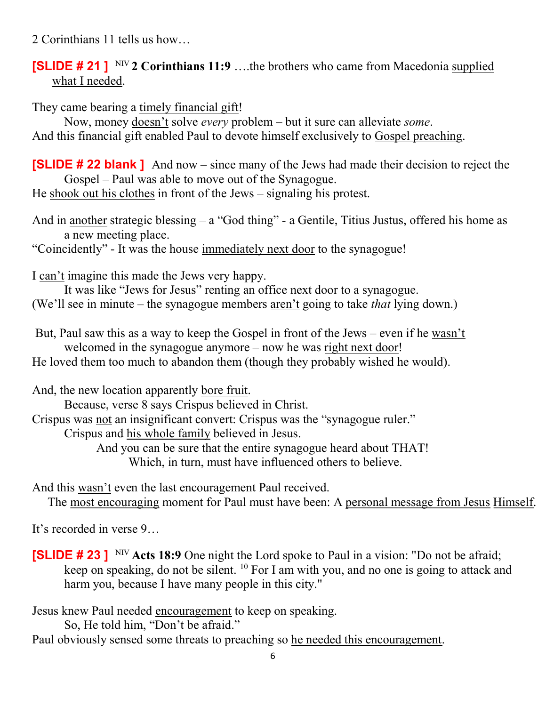2 Corinthians 11 tells us how…

### **[SLIDE # 21 ]** NIV 2 Corinthians 11:9 ...the brothers who came from Macedonia supplied what I needed.

They came bearing a timely financial gift!

Now, money doesn't solve every problem – but it sure can alleviate some. And this financial gift enabled Paul to devote himself exclusively to Gospel preaching.

[SLIDE # 22 blank ] And now – since many of the Jews had made their decision to reject the Gospel – Paul was able to move out of the Synagogue.

He shook out his clothes in front of the Jews – signaling his protest.

And in another strategic blessing – a "God thing" - a Gentile, Titius Justus, offered his home as a new meeting place.

"Coincidently" - It was the house immediately next door to the synagogue!

I can't imagine this made the Jews very happy.

 It was like "Jews for Jesus" renting an office next door to a synagogue. (We'll see in minute – the synagogue members aren't going to take that lying down.)

 But, Paul saw this as a way to keep the Gospel in front of the Jews – even if he wasn't welcomed in the synagogue anymore – now he was right next door!

He loved them too much to abandon them (though they probably wished he would).

And, the new location apparently bore fruit.

Because, verse 8 says Crispus believed in Christ.

Crispus was not an insignificant convert: Crispus was the "synagogue ruler."

Crispus and his whole family believed in Jesus.

 And you can be sure that the entire synagogue heard about THAT! Which, in turn, must have influenced others to believe.

And this wasn't even the last encouragement Paul received.

The most encouraging moment for Paul must have been: A personal message from Jesus Himself.

It's recorded in verse 9…

**[SLIDE # 23 ]** NIV Acts 18:9 One night the Lord spoke to Paul in a vision: "Do not be afraid; keep on speaking, do not be silent. <sup>10</sup> For I am with you, and no one is going to attack and harm you, because I have many people in this city."

Jesus knew Paul needed encouragement to keep on speaking.

So, He told him, "Don't be afraid."

Paul obviously sensed some threats to preaching so he needed this encouragement.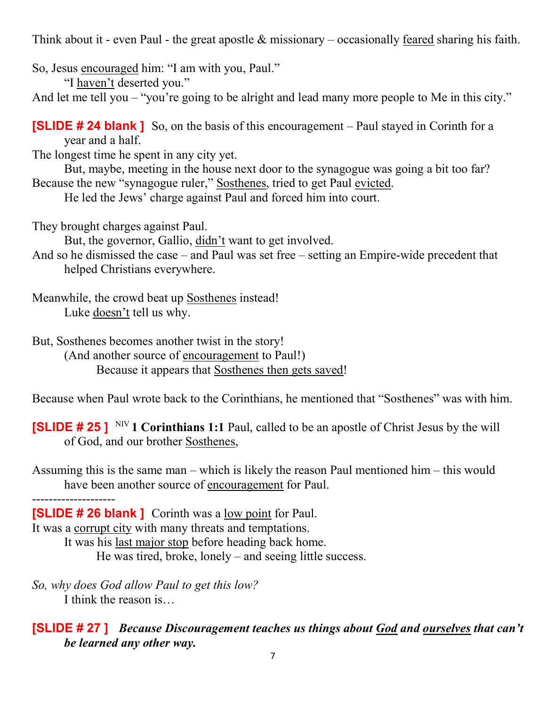Think about it - even Paul - the great apostle  $\&$  missionary – occasionally feared sharing his faith.

So, Jesus encouraged him: "I am with you, Paul."

"I haven't deserted you."

And let me tell you – "you're going to be alright and lead many more people to Me in this city."

[SLIDE # 24 blank ] So, on the basis of this encouragement – Paul stayed in Corinth for a year and a half.

The longest time he spent in any city yet.

 But, maybe, meeting in the house next door to the synagogue was going a bit too far? Because the new "synagogue ruler," Sosthenes, tried to get Paul evicted.

He led the Jews' charge against Paul and forced him into court.

They brought charges against Paul.

But, the governor, Gallio, didn't want to get involved.

And so he dismissed the case – and Paul was set free – setting an Empire-wide precedent that helped Christians everywhere.

Meanwhile, the crowd beat up Sosthenes instead! Luke doesn't tell us why.

But, Sosthenes becomes another twist in the story!

 (And another source of encouragement to Paul!) Because it appears that Sosthenes then gets saved!

Because when Paul wrote back to the Corinthians, he mentioned that "Sosthenes" was with him.

**[SLIDE # 25 ]** NIV 1 Corinthians 1:1 Paul, called to be an apostle of Christ Jesus by the will of God, and our brother Sosthenes,

Assuming this is the same man – which is likely the reason Paul mentioned him – this would have been another source of encouragement for Paul.

--------------------

[SLIDE # 26 blank ] Corinth was a low point for Paul.

It was a corrupt city with many threats and temptations.

It was his last major stop before heading back home.

He was tired, broke, lonely – and seeing little success.

So, why does God allow Paul to get this low? I think the reason is…

### **[SLIDE #27]** Because Discouragement teaches us things about God and ourselves that can't be learned any other way.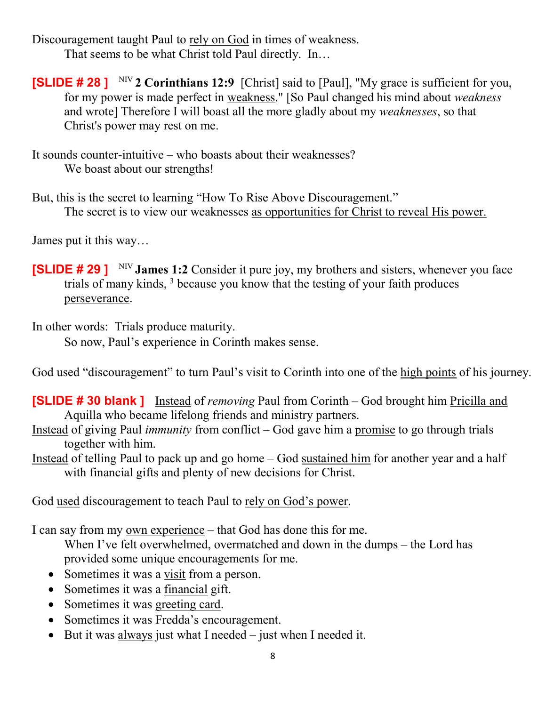Discouragement taught Paul to rely on God in times of weakness. That seems to be what Christ told Paul directly. In…

**[SLIDE # 28 ]** NIV 2 Corinthians 12:9 [Christ] said to [Paul], "My grace is sufficient for you, for my power is made perfect in weakness." [So Paul changed his mind about weakness and wrote] Therefore I will boast all the more gladly about my weaknesses, so that Christ's power may rest on me.

It sounds counter-intuitive – who boasts about their weaknesses? We boast about our strengths!

But, this is the secret to learning "How To Rise Above Discouragement." The secret is to view our weaknesses as opportunities for Christ to reveal His power.

James put it this way…

**[SLIDE # 29 ]** NIV James 1:2 Consider it pure joy, my brothers and sisters, whenever you face trials of many kinds, <sup>3</sup> because you know that the testing of your faith produces perseverance.

In other words: Trials produce maturity.

So now, Paul's experience in Corinth makes sense.

God used "discouragement" to turn Paul's visit to Corinth into one of the high points of his journey.

**[SLIDE # 30 blank ]** Instead of *removing* Paul from Corinth – God brought him Pricilla and Aquilla who became lifelong friends and ministry partners.

- Instead of giving Paul *immunity* from conflict  $-$  God gave him a promise to go through trials together with him.
- Instead of telling Paul to pack up and go home God sustained him for another year and a half with financial gifts and plenty of new decisions for Christ.

God used discouragement to teach Paul to rely on God's power.

I can say from my own experience – that God has done this for me.

When I've felt overwhelmed, overmatched and down in the dumps – the Lord has provided some unique encouragements for me.

- Sometimes it was a visit from a person.
- Sometimes it was a financial gift.
- Sometimes it was greeting card.
- Sometimes it was Fredda's encouragement.
- $\bullet$  But it was always just what I needed just when I needed it.